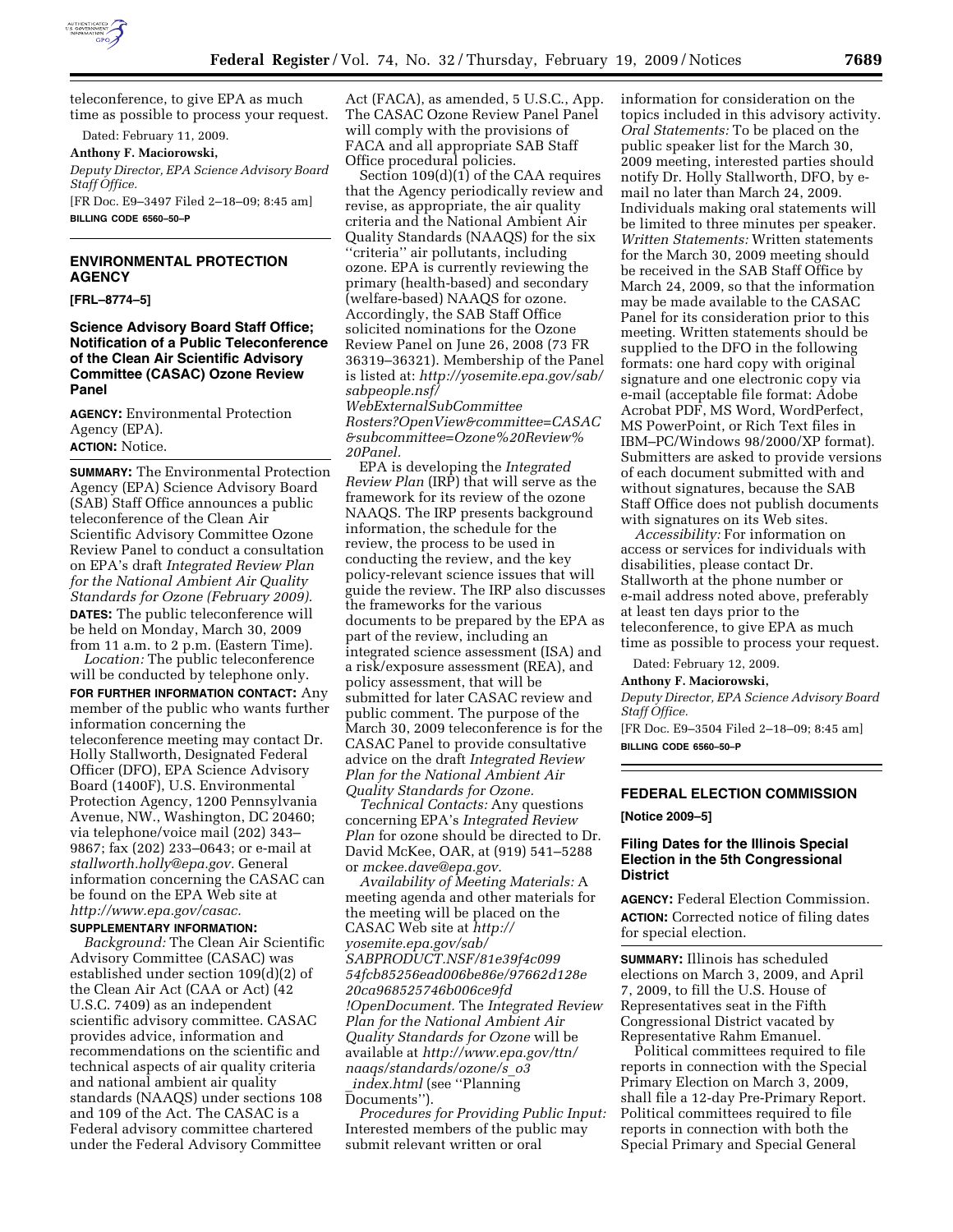

teleconference, to give EPA as much time as possible to process your request.

Dated: February 11, 2009.

### **Anthony F. Maciorowski,**

*Deputy Director, EPA Science Advisory Board Staff Office.* 

[FR Doc. E9–3497 Filed 2–18–09; 8:45 am] **BILLING CODE 6560–50–P** 

### **ENVIRONMENTAL PROTECTION AGENCY**

#### **[FRL–8774–5]**

**Science Advisory Board Staff Office; Notification of a Public Teleconference of the Clean Air Scientific Advisory Committee (CASAC) Ozone Review Panel** 

**AGENCY:** Environmental Protection Agency (EPA). **ACTION:** Notice.

**SUMMARY:** The Environmental Protection Agency (EPA) Science Advisory Board (SAB) Staff Office announces a public teleconference of the Clean Air Scientific Advisory Committee Ozone Review Panel to conduct a consultation on EPA's draft *Integrated Review Plan for the National Ambient Air Quality Standards for Ozone (February 2009).*  **DATES:** The public teleconference will be held on Monday, March 30, 2009 from 11 a.m. to 2 p.m. (Eastern Time).

*Location:* The public teleconference will be conducted by telephone only. **FOR FURTHER INFORMATION CONTACT:** Any member of the public who wants further information concerning the teleconference meeting may contact Dr. Holly Stallworth, Designated Federal Officer (DFO), EPA Science Advisory Board (1400F), U.S. Environmental Protection Agency, 1200 Pennsylvania Avenue, NW., Washington, DC 20460; via telephone/voice mail (202) 343– 9867; fax (202) 233–0643; or e-mail at *stallworth.holly@epa.gov.* General information concerning the CASAC can be found on the EPA Web site at *http://www.epa.gov/casac.* 

#### **SUPPLEMENTARY INFORMATION:**

*Background:* The Clean Air Scientific Advisory Committee (CASAC) was established under section 109(d)(2) of the Clean Air Act (CAA or Act) (42 U.S.C. 7409) as an independent scientific advisory committee. CASAC provides advice, information and recommendations on the scientific and technical aspects of air quality criteria and national ambient air quality standards (NAAQS) under sections 108 and 109 of the Act. The CASAC is a Federal advisory committee chartered under the Federal Advisory Committee

Act (FACA), as amended, 5 U.S.C., App. The CASAC Ozone Review Panel Panel will comply with the provisions of FACA and all appropriate SAB Staff Office procedural policies.

Section 109(d)(1) of the CAA requires that the Agency periodically review and revise, as appropriate, the air quality criteria and the National Ambient Air Quality Standards (NAAQS) for the six ''criteria'' air pollutants, including ozone. EPA is currently reviewing the primary (health-based) and secondary (welfare-based) NAAQS for ozone. Accordingly, the SAB Staff Office solicited nominations for the Ozone Review Panel on June 26, 2008 (73 FR 36319–36321). Membership of the Panel is listed at: *http://yosemite.epa.gov/sab/ sabpeople.nsf/* 

*WebExternalSubCommittee Rosters?OpenView&committee=CASAC &subcommittee=Ozone%20Review% 20Panel.* 

EPA is developing the *Integrated Review Plan* (IRP) that will serve as the framework for its review of the ozone NAAQS. The IRP presents background information, the schedule for the review, the process to be used in conducting the review, and the key policy-relevant science issues that will guide the review. The IRP also discusses the frameworks for the various documents to be prepared by the EPA as part of the review, including an integrated science assessment (ISA) and a risk/exposure assessment (REA), and policy assessment, that will be submitted for later CASAC review and public comment. The purpose of the March 30, 2009 teleconference is for the CASAC Panel to provide consultative advice on the draft *Integrated Review Plan for the National Ambient Air Quality Standards for Ozone.* 

*Technical Contacts:* Any questions concerning EPA's *Integrated Review Plan* for ozone should be directed to Dr. David McKee, OAR, at (919) 541–5288 or *mckee.dave@epa.gov.* 

*Availability of Meeting Materials:* A meeting agenda and other materials for the meeting will be placed on the CASAC Web site at *http:// yosemite.epa.gov/sab/ SABPRODUCT.NSF/81e39f4c099 54fcb85256ead006be86e/97662d128e 20ca968525746b006ce9fd !OpenDocument.* The *Integrated Review Plan for the National Ambient Air Quality Standards for Ozone* will be available at *http://www.epa.gov/ttn/ naaqs/standards/ozone/s*\_*o3* \_*index.html* (see ''Planning Documents'').

*Procedures for Providing Public Input:*  Interested members of the public may submit relevant written or oral

information for consideration on the topics included in this advisory activity. *Oral Statements:* To be placed on the public speaker list for the March 30, 2009 meeting, interested parties should notify Dr. Holly Stallworth, DFO, by email no later than March 24, 2009. Individuals making oral statements will be limited to three minutes per speaker. *Written Statements:* Written statements for the March 30, 2009 meeting should be received in the SAB Staff Office by March 24, 2009, so that the information may be made available to the CASAC Panel for its consideration prior to this meeting. Written statements should be supplied to the DFO in the following formats: one hard copy with original signature and one electronic copy via e-mail (acceptable file format: Adobe Acrobat PDF, MS Word, WordPerfect, MS PowerPoint, or Rich Text files in IBM–PC/Windows 98/2000/XP format). Submitters are asked to provide versions of each document submitted with and without signatures, because the SAB Staff Office does not publish documents with signatures on its Web sites.

*Accessibility:* For information on access or services for individuals with disabilities, please contact Dr. Stallworth at the phone number or e-mail address noted above, preferably at least ten days prior to the teleconference, to give EPA as much time as possible to process your request.

Dated: February 12, 2009.

#### **Anthony F. Maciorowski,**

*Deputy Director, EPA Science Advisory Board Staff Office.* 

[FR Doc. E9–3504 Filed 2–18–09; 8:45 am] **BILLING CODE 6560–50–P** 

# **FEDERAL ELECTION COMMISSION**

#### **[Notice 2009–5]**

### **Filing Dates for the Illinois Special Election in the 5th Congressional District**

**AGENCY:** Federal Election Commission. **ACTION:** Corrected notice of filing dates for special election.

**SUMMARY:** Illinois has scheduled elections on March 3, 2009, and April 7, 2009, to fill the U.S. House of Representatives seat in the Fifth Congressional District vacated by Representative Rahm Emanuel.

Political committees required to file reports in connection with the Special Primary Election on March 3, 2009, shall file a 12-day Pre-Primary Report. Political committees required to file reports in connection with both the Special Primary and Special General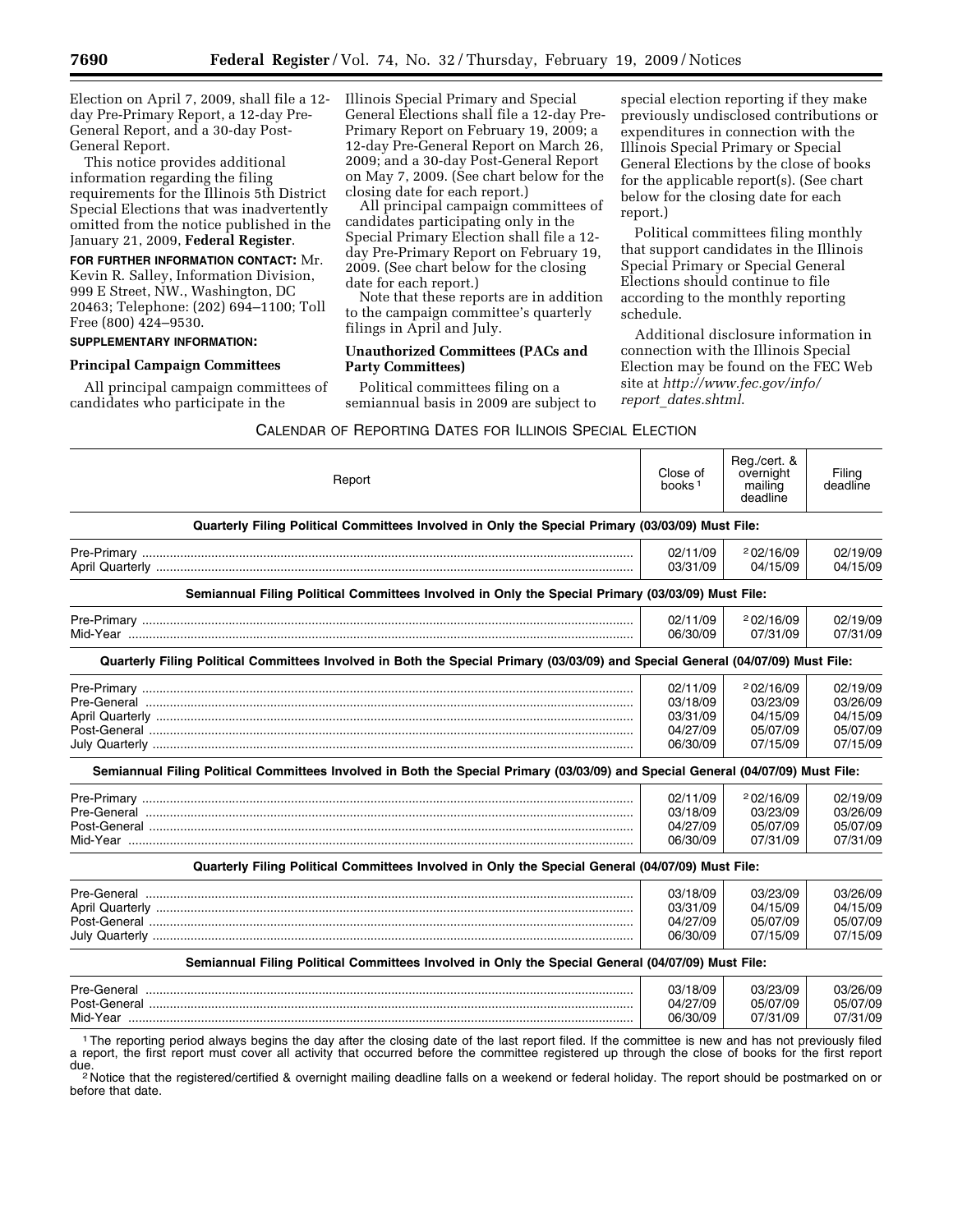Election on April 7, 2009, shall file a 12 day Pre-Primary Report, a 12-day Pre-General Report, and a 30-day Post-General Report.

This notice provides additional information regarding the filing requirements for the Illinois 5th District Special Elections that was inadvertently omitted from the notice published in the January 21, 2009, **Federal Register**.

**FOR FURTHER INFORMATION CONTACT:** Mr. Kevin R. Salley, Information Division, 999 E Street, NW., Washington, DC 20463; Telephone: (202) 694–1100; Toll Free (800) 424–9530.

# **SUPPLEMENTARY INFORMATION:**

### **Principal Campaign Committees**

All principal campaign committees of candidates who participate in the

Illinois Special Primary and Special General Elections shall file a 12-day Pre-Primary Report on February 19, 2009; a 12-day Pre-General Report on March 26, 2009; and a 30-day Post-General Report on May 7, 2009. (See chart below for the closing date for each report.)

All principal campaign committees of candidates participating only in the Special Primary Election shall file a 12 day Pre-Primary Report on February 19, 2009. (See chart below for the closing date for each report.)

Note that these reports are in addition to the campaign committee's quarterly filings in April and July.

## **Unauthorized Committees (PACs and Party Committees)**

Political committees filing on a semiannual basis in 2009 are subject to

special election reporting if they make previously undisclosed contributions or expenditures in connection with the Illinois Special Primary or Special General Elections by the close of books for the applicable report(s). (See chart below for the closing date for each report.)

Political committees filing monthly that support candidates in the Illinois Special Primary or Special General Elections should continue to file according to the monthly reporting schedule.

Additional disclosure information in connection with the Illinois Special Election may be found on the FEC Web site at *http://www.fec.gov/info/ report*\_*dates.shtml*.

### CALENDAR OF REPORTING DATES FOR ILLINOIS SPECIAL ELECTION

| Report                                                                                                                           | Close of<br>books <sup>1</sup> | Reg./cert. &<br>overnight<br>mailing<br>deadline | Filing<br>deadline   |
|----------------------------------------------------------------------------------------------------------------------------------|--------------------------------|--------------------------------------------------|----------------------|
| Quarterly Filing Political Committees Involved in Only the Special Primary (03/03/09) Must File:                                 |                                |                                                  |                      |
|                                                                                                                                  | 02/11/09<br>03/31/09           | 202/16/09<br>04/15/09                            | 02/19/09<br>04/15/09 |
| Semiannual Filing Political Committees Involved in Only the Special Primary (03/03/09) Must File:                                |                                |                                                  |                      |
|                                                                                                                                  | 02/11/09                       | 202/16/09                                        | 02/19/09             |
|                                                                                                                                  | 06/30/09                       | 07/31/09                                         | 07/31/09             |
| Quarterly Filing Political Committees Involved in Both the Special Primary (03/03/09) and Special General (04/07/09) Must File:  |                                |                                                  |                      |
|                                                                                                                                  | 02/11/09                       | 202/16/09                                        | 02/19/09             |
|                                                                                                                                  | 03/18/09                       | 03/23/09                                         | 03/26/09             |
|                                                                                                                                  | 03/31/09                       | 04/15/09                                         | 04/15/09             |
|                                                                                                                                  | 04/27/09                       | 05/07/09                                         | 05/07/09             |
|                                                                                                                                  | 06/30/09                       | 07/15/09                                         | 07/15/09             |
| Semiannual Filing Political Committees Involved in Both the Special Primary (03/03/09) and Special General (04/07/09) Must File: |                                |                                                  |                      |
|                                                                                                                                  | 02/11/09                       | 202/16/09                                        | 02/19/09             |
|                                                                                                                                  | 03/18/09                       | 03/23/09                                         | 03/26/09             |
|                                                                                                                                  | 04/27/09                       | 05/07/09                                         | 05/07/09             |
|                                                                                                                                  | 06/30/09                       | 07/31/09                                         | 07/31/09             |
| Quarterly Filing Political Committees Involved in Only the Special General (04/07/09) Must File:                                 |                                |                                                  |                      |
|                                                                                                                                  | 03/18/09                       | 03/23/09                                         | 03/26/09             |
|                                                                                                                                  | 03/31/09                       | 04/15/09                                         | 04/15/09             |
|                                                                                                                                  | 04/27/09                       | 05/07/09                                         | 05/07/09             |
|                                                                                                                                  | 06/30/09                       | 07/15/09                                         | 07/15/09             |
| Semiannual Filing Political Committees Involved in Only the Special General (04/07/09) Must File:                                |                                |                                                  |                      |
|                                                                                                                                  |                                |                                                  |                      |

| Pre-General  | 03/18/09 | 03/23/09 | 03/26/09 |
|--------------|----------|----------|----------|
| Post-General | 04/27/09 | 05/07/09 | 05/07/09 |
| Mid-Year     | 06/30/09 | 07/31/09 | 07/31/09 |

1The reporting period always begins the day after the closing date of the last report filed. If the committee is new and has not previously filed a report, the first report must cover all activity that occurred before the committee registered up through the close of books for the first report due.<br><sup>2</sup> Notice that the registered/certified & overnight mailing deadline falls on a weekend or federal holiday. The report should be postmarked on or

before that date.